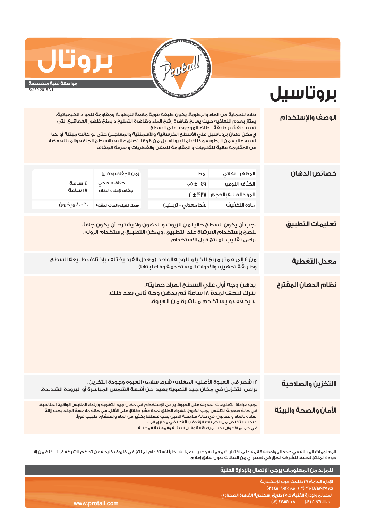

**بروتاسيل**

## **مواصفة فنية متخصصة**

**بروتال**

54130-2018-V1

## ١٢ شهر في العبوة الأصلية المغلقة شرط سلامة العبوة وجودة التخزين. يراعى التخزين في مكان جيد التهوية بعيداً عن أشعة الشمس المباشرة أو البرودة الشديدة. يجب مراعاة التعليمات المدونة على العبوة. يراعى الإستخدام في مكان جيد التهوية وإرتداء الملابس الواقية المناسبة. في حالة صعوبة التنفس يجب الخروج للهواء الطلق لمدة عشر دقائق على الأقل. في حالة ملامسة الجلد يجب إزالة المادة بالماء والصابون. في حالة ملامسة العين يجب غسلها بكثير من الماء وإستشارة طبيب فوراً. لا يجب التخلص من الكميات الزائدة بإلقائها في مجاري الماء. من ٤ إلى ٥ متر مربع للكيلو للوجه الواحد (معدل الفرد يختلف بإختلاف طبيعة السطح وطريقة تجهيزه والأدوات المستخدمة وفاعليتها). طلاء للحماية من الماء والرطوبة، يكون طبقة قوية مانعة للرطوبة ومقاومة للمواد الكيميائية. يمتاز بعدم النفاذية حيث يعالج ظاهرة رشح الماء وظاهرة التمليح و يمنع ظهور الفقاقيع التى تسبب تقشير طبقة الطلاء الموجودة علي السطح . يمكن دهان بروتاسيل علي الأسطح الخرسانية والأسمنتية والمعاجين حتى لو كانت مبتلة أو بها نسبة عالية من الرطوبة و ذلك لما لبروتاسيل من قوة التصاق عالية بالأسطح الجافة والمبتلة فضلا عن المقاومة عالية للقلويات و المقاومة للعفن والفطريات و سرعة الجفاف ٠٫٠٥ ± ١٫٤٩ ٢ ± %٣٨ **الوصف والإستخدام تعليمات التطبيق نظام الدهان المقترح خصائص الدهان** المظهر النهائي الكثافة النوعية المواد الصلبة بالحجم زمن الجفاف (°٢٥س) جفاف سطحي جفاف لإعادة الطلاء **االتخزين والصلاحية الأمان والصحة والبيئة معدل التغطية**  مادة التخفيف سمك الفيلم الجاف المقترح نفط معدني - تربنتين ٦٠ - ٨٠ ميكرون ٤ ساعة يدهن وجه أول علي السطح المراد حمايته. يترك ليجف لمدة ١٨ ساعة ثم يدهن وجه ثاني بعد ذلك. لا يخفف و يستخدم مباشرة من العبوة. مط ١٨ ساعة يجب أن يكون السطح خاليا من الزيوت و الدهون ولا يشترط أن يكون جافاً. ينصح بإستخدام الفرشاة عند التطبيق، ويمكن التطبيق بإستخدام الرولة. يراعى تقليب المنتج قبل الاستخدام.

المعلومات المبينة في هذه المواصفة قائمة على إختبارات معملية وخبرات عملية. نظراً لإستخدام المنتج في ظروف خارجة عن تحكم الشركة فإننا لا نضمن إلا جودة المنتج نفسه. للشركة الحق في تغيير أي من البيانات بدون سابق إعلام.

|                 | ، للمزيد من المعلومات يرجى الإتصال بالإدارة الفنية ا                         |
|-----------------|------------------------------------------------------------------------------|
|                 | الادارة العامة؛ ٢٧ طلعت حرب الاسكندرية<br>ت: ٣٦/٤٨٦٨٩٢٥ (٣٠) ف: ٤٨٦٨٩٢٥ (٣٠) |
|                 | أالمصانع والإدارة الفنية؛ ك٢٥ طريق إسكندرية القاهرة الصحراوى ا               |
| www.protall.com | رت: ۲۰/٤٧٠١١١٠ (۳)         ف: ٤٧٠١١٤١ (۳)     (۳)                            |

في جميع الأحوال يجب مراعاة القوانين البيئية والمهنية المحلية.